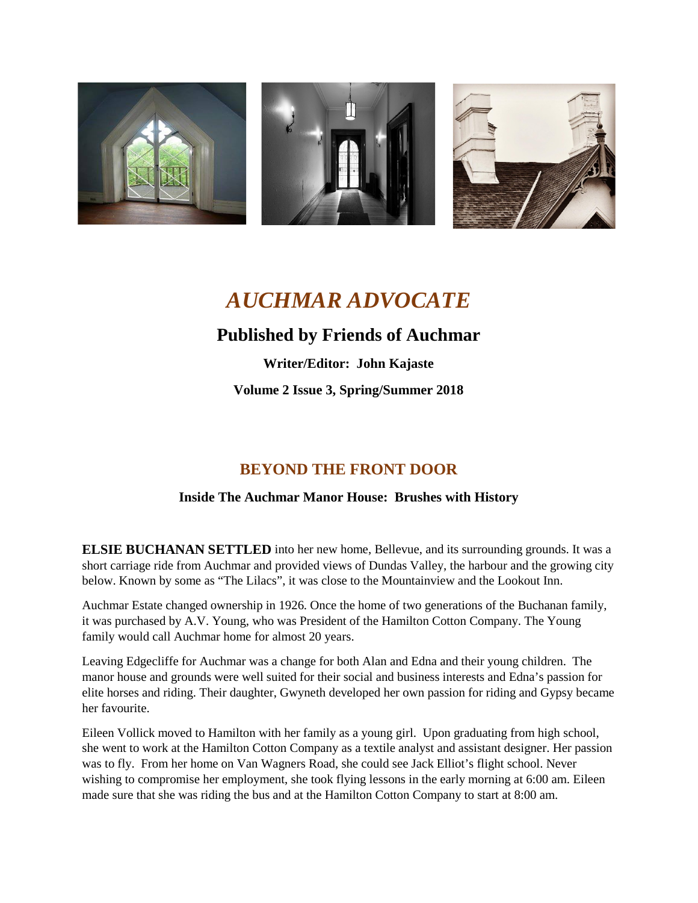

# *AUCHMAR ADVOCATE*

## **Published by Friends of Auchmar**

**Writer/Editor: John Kajaste Volume 2 Issue 3, Spring/Summer 2018**

## **BEYOND THE FRONT DOOR**

#### **Inside The Auchmar Manor House: Brushes with History**

**ELSIE BUCHANAN SETTLED** into her new home, Bellevue, and its surrounding grounds. It was a short carriage ride from Auchmar and provided views of Dundas Valley, the harbour and the growing city below. Known by some as "The Lilacs", it was close to the Mountainview and the Lookout Inn.

Auchmar Estate changed ownership in 1926. Once the home of two generations of the Buchanan family, it was purchased by A.V. Young, who was President of the Hamilton Cotton Company. The Young family would call Auchmar home for almost 20 years.

Leaving Edgecliffe for Auchmar was a change for both Alan and Edna and their young children. The manor house and grounds were well suited for their social and business interests and Edna's passion for elite horses and riding. Their daughter, Gwyneth developed her own passion for riding and Gypsy became her favourite.

Eileen Vollick moved to Hamilton with her family as a young girl. Upon graduating from high school, she went to work at the Hamilton Cotton Company as a textile analyst and assistant designer. Her passion was to fly. From her home on Van Wagners Road, she could see Jack Elliot's flight school. Never wishing to compromise her employment, she took flying lessons in the early morning at 6:00 am. Eileen made sure that she was riding the bus and at the Hamilton Cotton Company to start at 8:00 am.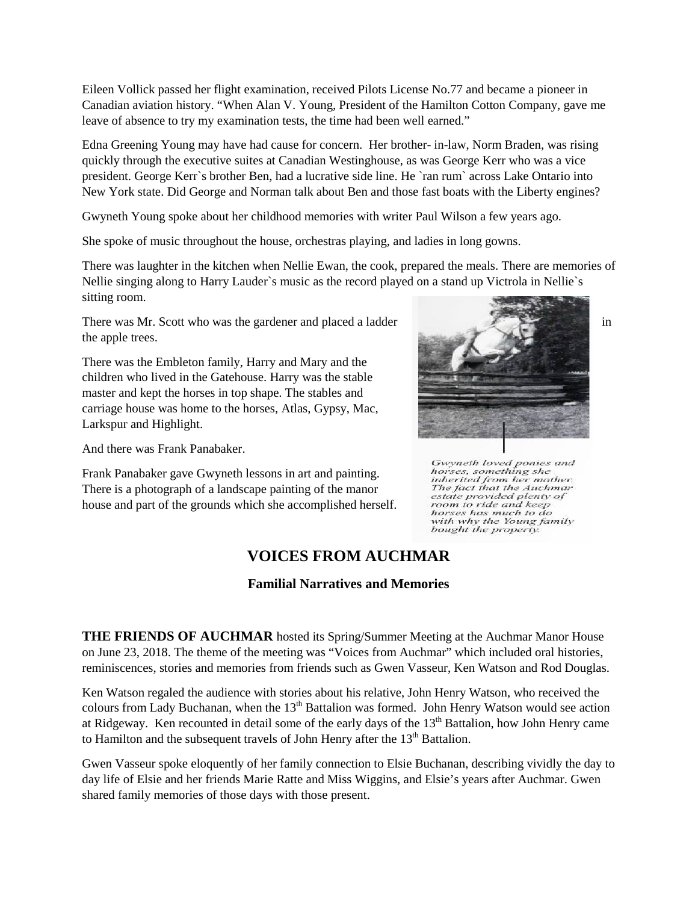Eileen Vollick passed her flight examination, received Pilots License No.77 and became a pioneer in Canadian aviation history. "When Alan V. Young, President of the Hamilton Cotton Company, gave me leave of absence to try my examination tests, the time had been well earned."

Edna Greening Young may have had cause for concern. Her brother- in-law, Norm Braden, was rising quickly through the executive suites at Canadian Westinghouse, as was George Kerr who was a vice president. George Kerr`s brother Ben, had a lucrative side line. He `ran rum` across Lake Ontario into New York state. Did George and Norman talk about Ben and those fast boats with the Liberty engines?

Gwyneth Young spoke about her childhood memories with writer Paul Wilson a few years ago.

She spoke of music throughout the house, orchestras playing, and ladies in long gowns.

There was laughter in the kitchen when Nellie Ewan, the cook, prepared the meals. There are memories of Nellie singing along to Harry Lauder`s music as the record played on a stand up Victrola in Nellie`s sitting room.

There was Mr. Scott who was the gardener and placed a ladder in in the apple trees.

There was the Embleton family, Harry and Mary and the children who lived in the Gatehouse. Harry was the stable master and kept the horses in top shape. The stables and carriage house was home to the horses, Atlas, Gypsy, Mac, Larkspur and Highlight.

And there was Frank Panabaker.

Frank Panabaker gave Gwyneth lessons in art and painting. There is a photograph of a landscape painting of the manor house and part of the grounds which she accomplished herself.



Gwyneth loved ponies and<br>horses, something she<br>inherited from her mother. The fact that the Auchman estate provided plenty of room to ride and keep<br>horses has much to do<br>with why the Young family bought the property.

### **VOICES FROM AUCHMAR**

**Familial Narratives and Memories**

**THE FRIENDS OF AUCHMAR** hosted its Spring/Summer Meeting at the Auchmar Manor House on June 23, 2018. The theme of the meeting was "Voices from Auchmar" which included oral histories, reminiscences, stories and memories from friends such as Gwen Vasseur, Ken Watson and Rod Douglas.

Ken Watson regaled the audience with stories about his relative, John Henry Watson, who received the colours from Lady Buchanan, when the  $13<sup>th</sup>$  Battalion was formed. John Henry Watson would see action at Ridgeway. Ken recounted in detail some of the early days of the 13<sup>th</sup> Battalion, how John Henry came to Hamilton and the subsequent travels of John Henry after the  $13<sup>th</sup>$  Battalion.

Gwen Vasseur spoke eloquently of her family connection to Elsie Buchanan, describing vividly the day to day life of Elsie and her friends Marie Ratte and Miss Wiggins, and Elsie's years after Auchmar. Gwen shared family memories of those days with those present.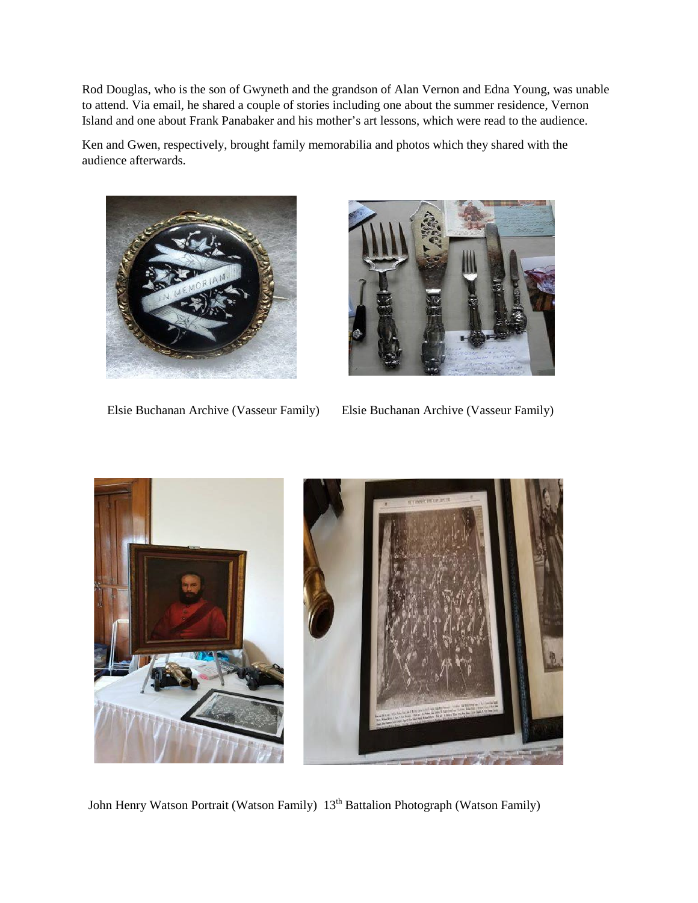Rod Douglas, who is the son of Gwyneth and the grandson of Alan Vernon and Edna Young, was unable to attend. Via email, he shared a couple of stories including one about the summer residence, Vernon Island and one about Frank Panabaker and his mother's art lessons, which were read to the audience.

Ken and Gwen, respectively, brought family memorabilia and photos which they shared with the audience afterwards.





Elsie Buchanan Archive (Vasseur Family) Elsie Buchanan Archive (Vasseur Family)



John Henry Watson Portrait (Watson Family) 13<sup>th</sup> Battalion Photograph (Watson Family)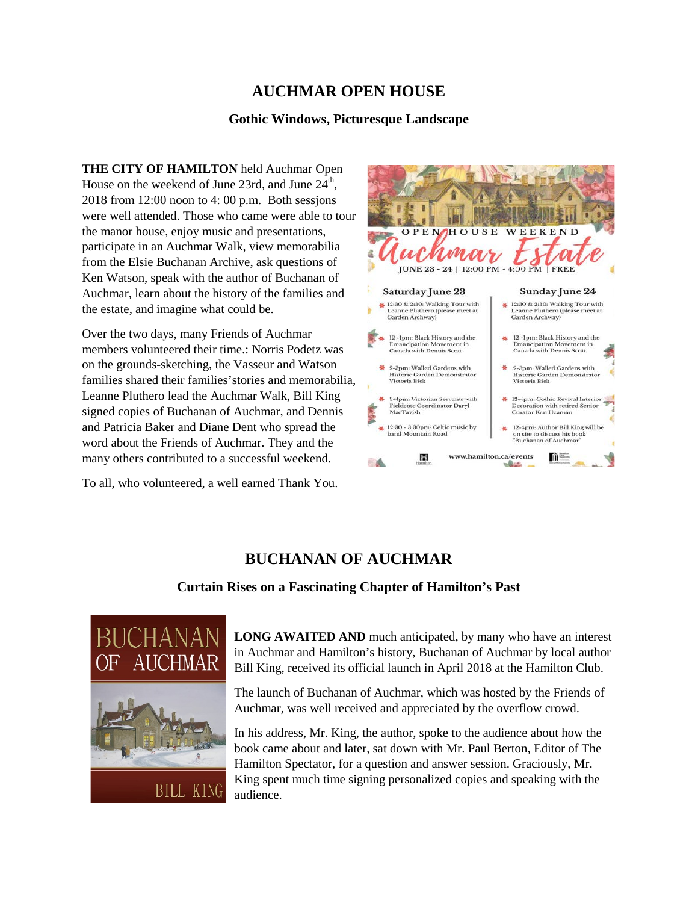### **AUCHMAR OPEN HOUSE**

#### **Gothic Windows, Picturesque Landscape**

**THE CITY OF HAMILTON** held Auchmar Open House on the weekend of June 23rd, and June  $24<sup>th</sup>$ , 2018 from 12:00 noon to 4: 00 p.m. Both sessjons were well attended. Those who came were able to tour the manor house, enjoy music and presentations, participate in an Auchmar Walk, view memorabilia from the Elsie Buchanan Archive, ask questions of Ken Watson, speak with the author of Buchanan of Auchmar, learn about the history of the families and the estate, and imagine what could be.

Over the two days, many Friends of Auchmar members volunteered their time.: Norris Podetz was on the grounds-sketching, the Vasseur and Watson families shared their families'stories and memorabilia, Leanne Pluthero lead the Auchmar Walk, Bill King signed copies of Buchanan of Auchmar, and Dennis and Patricia Baker and Diane Dent who spread the word about the Friends of Auchmar. They and the many others contributed to a successful weekend.

To all, who volunteered, a well earned Thank You.



## **BUCHANAN OF AUCHMAR**

#### **Curtain Rises on a Fascinating Chapter of Hamilton's Past**



**LONG AWAITED AND** much anticipated, by many who have an interest in Auchmar and Hamilton's history, Buchanan of Auchmar by local author Bill King, received its official launch in April 2018 at the Hamilton Club.

The launch of Buchanan of Auchmar, which was hosted by the Friends of Auchmar, was well received and appreciated by the overflow crowd.

In his address, Mr. King, the author, spoke to the audience about how the book came about and later, sat down with Mr. Paul Berton, Editor of The Hamilton Spectator, for a question and answer session. Graciously, Mr. King spent much time signing personalized copies and speaking with the audience.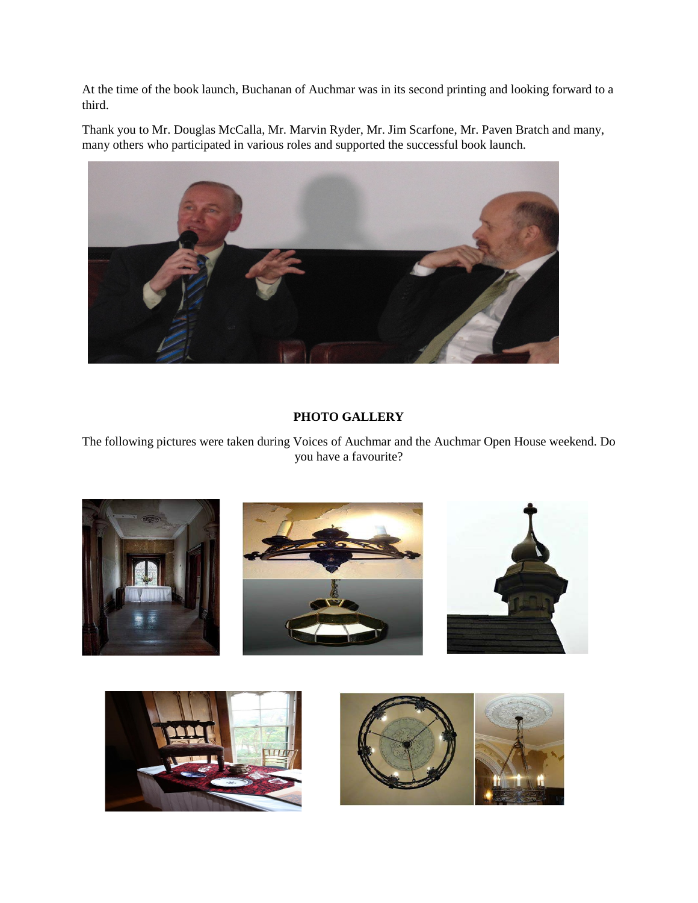At the time of the book launch, Buchanan of Auchmar was in its second printing and looking forward to a third.

Thank you to Mr. Douglas McCalla, Mr. Marvin Ryder, Mr. Jim Scarfone, Mr. Paven Bratch and many, many others who participated in various roles and supported the successful book launch.



#### **PHOTO GALLERY**

The following pictures were taken during Voices of Auchmar and the Auchmar Open House weekend. Do you have a favourite?